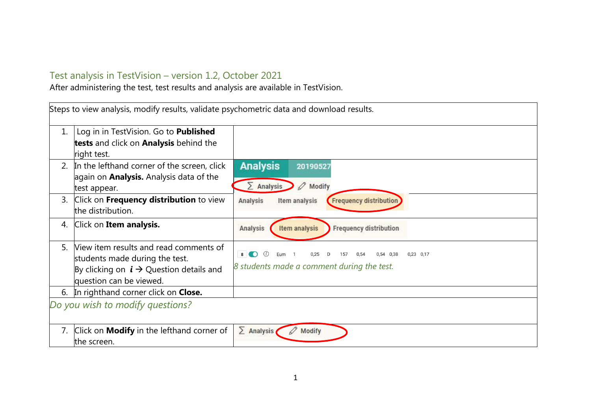## Test analysis in TestVision – version 1.2, October 2021

After administering the test, test results and analysis are available in TestVision.

|    | Steps to view analysis, modify results, validate psychometric data and download results.                                                                   |                                                                                                                             |
|----|------------------------------------------------------------------------------------------------------------------------------------------------------------|-----------------------------------------------------------------------------------------------------------------------------|
| 1. | Log in in TestVision. Go to <b>Published</b><br>tests and click on <b>Analysis</b> behind the<br>right test.                                               |                                                                                                                             |
| 2. | In the lefthand corner of the screen, click<br>again on <b>Analysis.</b> Analysis data of the<br>test appear.                                              | <b>Analysis</b><br>20190527<br>$\oslash$ Modify<br>$\sum$ Analysis                                                          |
| 3. | Click on Frequency distribution to view<br>the distribution.                                                                                               | Analysis<br>Item analysis<br><b>Frequency distribution</b>                                                                  |
| 4. | Click on Item analysis.                                                                                                                                    | Item analysis<br><b>Frequency distribution</b><br>Analysis                                                                  |
| 5. | View item results and read comments of<br>students made during the test.<br>By clicking on $i \rightarrow$ Question details and<br>question can be viewed. | $\odot$<br>8 0<br>Eum<br>0,25<br>0,54 0,38<br>$0,23$ 0,17<br>D<br>157<br>0,54<br>8 students made a comment during the test. |
| 6. | In righthand corner click on <b>Close.</b>                                                                                                                 |                                                                                                                             |
|    | Do you wish to modify questions?                                                                                                                           |                                                                                                                             |
|    | 7. Click on <b>Modify</b> in the lefthand corner of<br>the screen.                                                                                         | Σ<br><b>Analysis</b><br>Modify                                                                                              |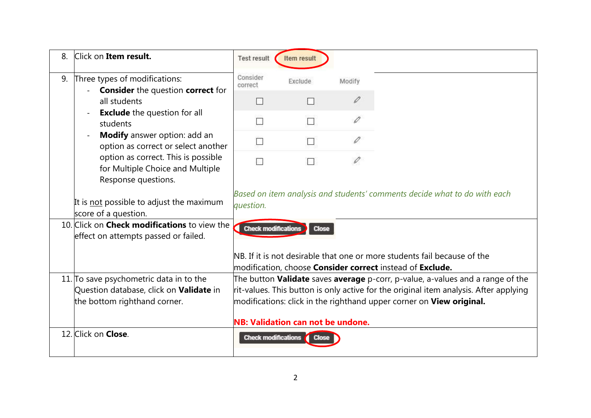| 8. | Click on Item result.                                                                                                                                                                                                                                                                                                        | <b>Test result</b>                                                                                                                                                                                                                                                                                 | Item result                      |        |                                                                           |  |
|----|------------------------------------------------------------------------------------------------------------------------------------------------------------------------------------------------------------------------------------------------------------------------------------------------------------------------------|----------------------------------------------------------------------------------------------------------------------------------------------------------------------------------------------------------------------------------------------------------------------------------------------------|----------------------------------|--------|---------------------------------------------------------------------------|--|
| 9. | Three types of modifications:<br><b>Consider</b> the question <b>correct</b> for<br>all students<br><b>Exclude</b> the question for all<br>students<br>Modify answer option: add an<br>option as correct or select another<br>option as correct. This is possible<br>for Multiple Choice and Multiple<br>Response questions. | Consider<br>correct                                                                                                                                                                                                                                                                                | Exclude                          | Modify |                                                                           |  |
|    |                                                                                                                                                                                                                                                                                                                              | П                                                                                                                                                                                                                                                                                                  | П                                |        |                                                                           |  |
|    |                                                                                                                                                                                                                                                                                                                              | IJ                                                                                                                                                                                                                                                                                                 | П                                |        |                                                                           |  |
|    |                                                                                                                                                                                                                                                                                                                              | П                                                                                                                                                                                                                                                                                                  |                                  |        |                                                                           |  |
|    |                                                                                                                                                                                                                                                                                                                              | π                                                                                                                                                                                                                                                                                                  | П                                |        |                                                                           |  |
|    | It is not possible to adjust the maximum<br>score of a question.                                                                                                                                                                                                                                                             | question.                                                                                                                                                                                                                                                                                          |                                  |        | Based on item analysis and students' comments decide what to do with each |  |
|    | 10. Click on <b>Check modifications</b> to view the<br>effect on attempts passed or failed.                                                                                                                                                                                                                                  | <b>Check modifications</b>                                                                                                                                                                                                                                                                         | <b>Close</b>                     |        |                                                                           |  |
|    |                                                                                                                                                                                                                                                                                                                              | NB. If it is not desirable that one or more students fail because of the<br>modification, choose <b>Consider correct</b> instead of <b>Exclude.</b>                                                                                                                                                |                                  |        |                                                                           |  |
|    | 11. To save psychometric data in to the<br>Question database, click on <b>Validate</b> in<br>the bottom righthand corner.                                                                                                                                                                                                    | The button Validate saves average p-corr, p-value, a-values and a range of the<br>rit-values. This button is only active for the original item analysis. After applying<br>modifications: click in the righthand upper corner on <b>View original.</b><br><b>NB: Validation can not be undone.</b> |                                  |        |                                                                           |  |
|    | 12. Click on <b>Close</b> .                                                                                                                                                                                                                                                                                                  |                                                                                                                                                                                                                                                                                                    | <b>Check modifications Close</b> |        |                                                                           |  |